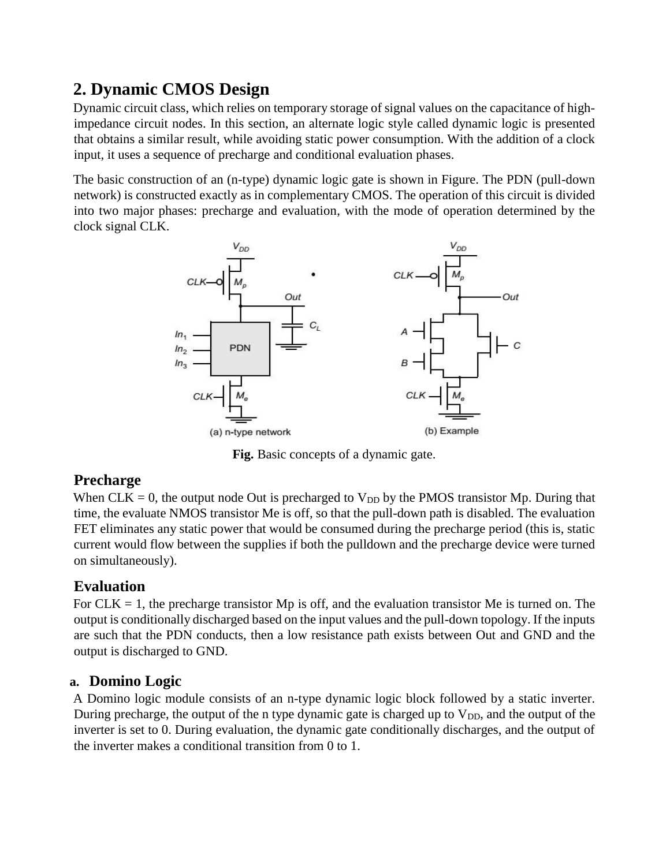# **2. Dynamic CMOS Design**

Dynamic circuit class, which relies on temporary storage of signal values on the capacitance of highimpedance circuit nodes. In this section, an alternate logic style called dynamic logic is presented that obtains a similar result, while avoiding static power consumption. With the addition of a clock input, it uses a sequence of precharge and conditional evaluation phases.

The basic construction of an (n-type) dynamic logic gate is shown in Figure. The PDN (pull-down network) is constructed exactly as in complementary CMOS. The operation of this circuit is divided into two major phases: precharge and evaluation, with the mode of operation determined by the clock signal CLK.



Fig. Basic concepts of a dynamic gate.

# **Precharge**

When CLK = 0, the output node Out is precharged to  $V_{DD}$  by the PMOS transistor Mp. During that time, the evaluate NMOS transistor Me is off, so that the pull-down path is disabled. The evaluation FET eliminates any static power that would be consumed during the precharge period (this is, static current would flow between the supplies if both the pulldown and the precharge device were turned on simultaneously).

# **Evaluation**

For  $CLK = 1$ , the precharge transistor Mp is off, and the evaluation transistor Me is turned on. The output is conditionally discharged based on the input values and the pull-down topology. If the inputs are such that the PDN conducts, then a low resistance path exists between Out and GND and the output is discharged to GND.

## **a. Domino Logic**

A Domino logic module consists of an n-type dynamic logic block followed by a static inverter. During precharge, the output of the n type dynamic gate is charged up to  $V_{DD}$ , and the output of the inverter is set to 0. During evaluation, the dynamic gate conditionally discharges, and the output of the inverter makes a conditional transition from 0 to 1.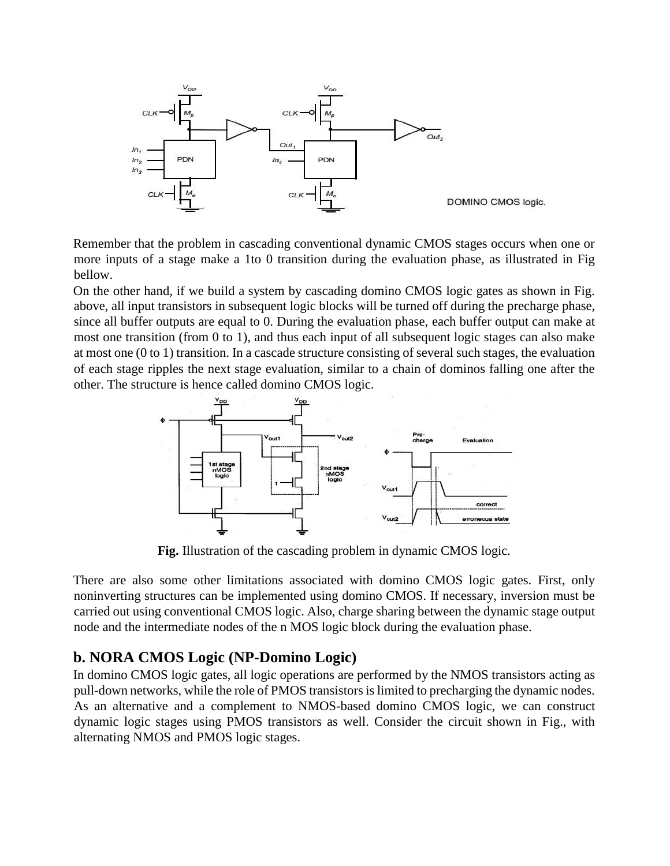

Remember that the problem in cascading conventional dynamic CMOS stages occurs when one or more inputs of a stage make a 1to 0 transition during the evaluation phase, as illustrated in Fig bellow.

On the other hand, if we build a system by cascading domino CMOS logic gates as shown in Fig. above, all input transistors in subsequent logic blocks will be turned off during the precharge phase, since all buffer outputs are equal to 0. During the evaluation phase, each buffer output can make at most one transition (from 0 to 1), and thus each input of all subsequent logic stages can also make at most one (0 to 1) transition. In a cascade structure consisting of several such stages, the evaluation of each stage ripples the next stage evaluation, similar to a chain of dominos falling one after the other. The structure is hence called domino CMOS logic.



**Fig.** Illustration of the cascading problem in dynamic CMOS logic.

There are also some other limitations associated with domino CMOS logic gates. First, only noninverting structures can be implemented using domino CMOS. If necessary, inversion must be carried out using conventional CMOS logic. Also, charge sharing between the dynamic stage output node and the intermediate nodes of the n MOS logic block during the evaluation phase.

### **b. NORA CMOS Logic (NP-Domino Logic)**

In domino CMOS logic gates, all logic operations are performed by the NMOS transistors acting as pull-down networks, while the role of PMOS transistors is limited to precharging the dynamic nodes. As an alternative and a complement to NMOS-based domino CMOS logic, we can construct dynamic logic stages using PMOS transistors as well. Consider the circuit shown in Fig., with alternating NMOS and PMOS logic stages.